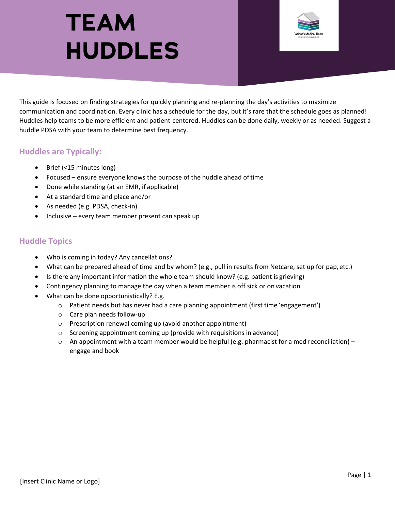## **TEAM HUDDLES**



This guide is focused on finding strategies for quickly planning and re-planning the day's activities to maximize communication and coordination. Every clinic has a schedule for the day, but it's rare that the schedule goes as planned! Huddles help teams to be more efficient and patient-centered. Huddles can be done daily, weekly or as needed. Suggest a huddle PDSA with your team to determine best frequency.

## **Huddles are Typically:**

- Brief (<15 minutes long)
- Focused ensure everyone knows the purpose of the huddle ahead oftime
- Done while standing (at an EMR, if applicable)
- At a standard time and place and/or
- As needed (e.g. PDSA, check-in)
- Inclusive every team member present can speak up

## **Huddle Topics**

- Who is coming in today? Any cancellations?
- What can be prepared ahead of time and by whom? (e.g., pull in results from Netcare, set up for pap,etc.)
- Is there any important information the whole team should know? (e.g. patient is grieving)
- Contingency planning to manage the day when a team member is off sick or on vacation
- What can be done opportunistically? E.g.
	- $\circ$  Patient needs but has never had a care planning appointment (first time 'engagement')
	- o Care plan needs follow-up
	- o Prescription renewal coming up (avoid another appointment)
	- o Screening appointment coming up (provide with requisitions in advance)
	- o An appointment with a team member would be helpful (e.g. pharmacist for a med reconciliation) engage and book